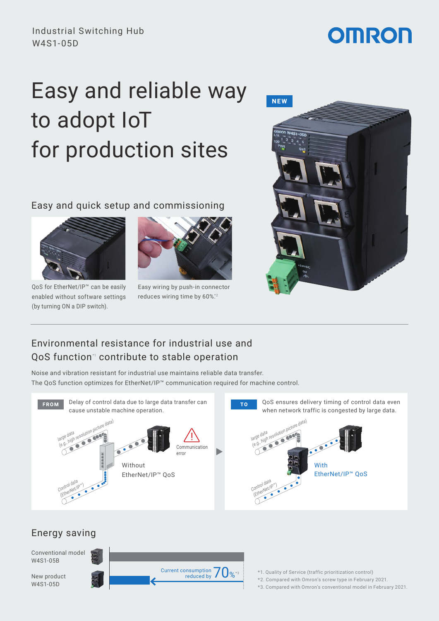# **OMRON**

# Easy and reliable way to adopt IoT for production sites

Easy and quick setup and commissioning



QoS for EtherNet/IP™ can be easily enabled without software settings (by turning ON a DIP switch).



Easy wiring by push-in connector reduces wiring time by 60%\*2



# Environmental resistance for industrial use and OoS function<sup>\*</sup> contribute to stable operation

Noise and vibration resistant for industrial use maintains reliable data transfer. Noise and vibration resistant for industrial use maintains reliable data transfer.<br>The QoS function optimizes for EtherNet/IP™ communication required for machine control.



large data

### Energy saving



- \*1. Quality of Service (traffic prioritization control)
- \*2. Compared with Omron's screw type in February 2021.
- \*3. Compared with Omron's conventional model in February 2021.